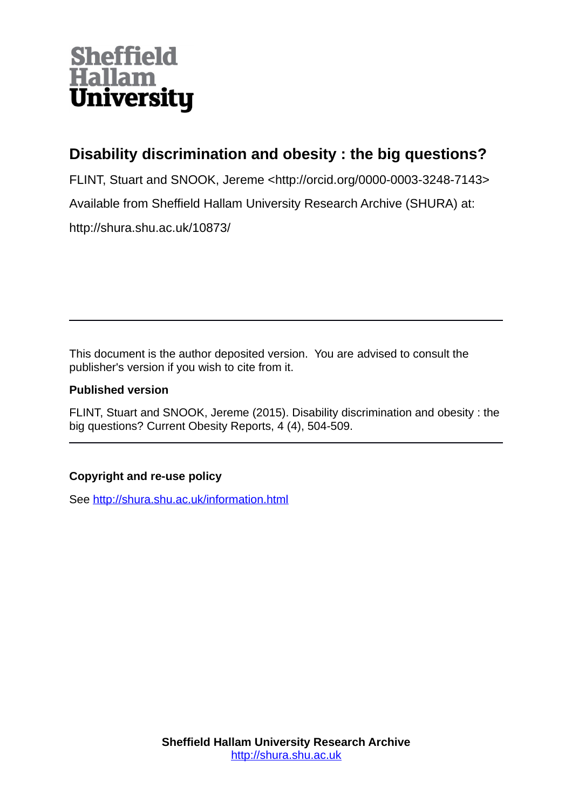

# **Disability discrimination and obesity : the big questions?**

FLINT, Stuart and SNOOK, Jereme <http://orcid.org/0000-0003-3248-7143> Available from Sheffield Hallam University Research Archive (SHURA) at: http://shura.shu.ac.uk/10873/

This document is the author deposited version. You are advised to consult the publisher's version if you wish to cite from it.

# **Published version**

FLINT, Stuart and SNOOK, Jereme (2015). Disability discrimination and obesity : the big questions? Current Obesity Reports, 4 (4), 504-509.

# **Copyright and re-use policy**

See<http://shura.shu.ac.uk/information.html>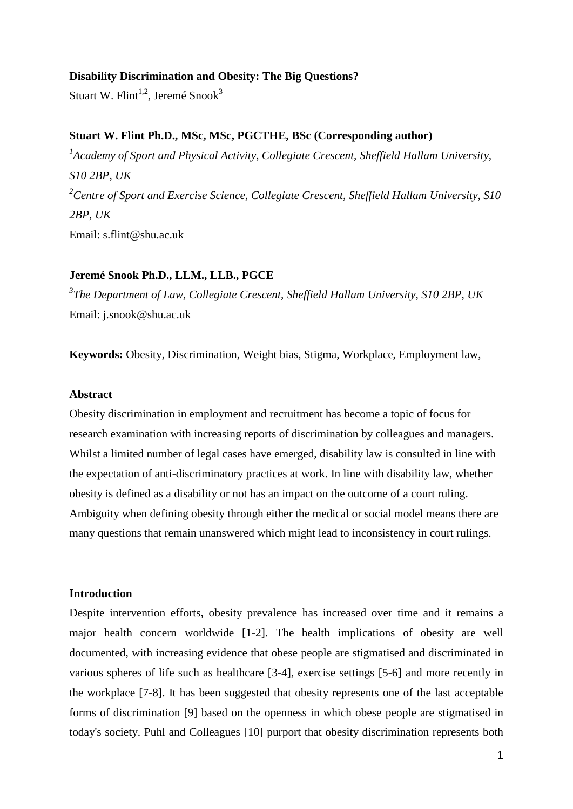#### **Disability Discrimination and Obesity: The Big Questions?**

Stuart W. Flint<sup>1,2</sup>, Jeremé Snook<sup>3</sup>

# **Stuart W. Flint Ph.D., MSc, MSc, PGCTHE, BSc (Corresponding author)**

*1 Academy of Sport and Physical Activity, Collegiate Crescent, Sheffield Hallam University, S10 2BP, UK <sup>2</sup>Centre of Sport and Exercise Science, Collegiate Crescent, Sheffield Hallam University, S10 2BP, UK* Email: s.flint@shu.ac.uk

#### **Jeremé Snook Ph.D., LLM., LLB., PGCE**

*3 The Department of Law, Collegiate Crescent, Sheffield Hallam University, S10 2BP, UK* Email: j.snook@shu.ac.uk

**Keywords:** Obesity, Discrimination, Weight bias, Stigma, Workplace, Employment law,

# **Abstract**

Obesity discrimination in employment and recruitment has become a topic of focus for research examination with increasing reports of discrimination by colleagues and managers. Whilst a limited number of legal cases have emerged, disability law is consulted in line with the expectation of anti-discriminatory practices at work. In line with disability law, whether obesity is defined as a disability or not has an impact on the outcome of a court ruling. Ambiguity when defining obesity through either the medical or social model means there are many questions that remain unanswered which might lead to inconsistency in court rulings.

# **Introduction**

Despite intervention efforts, obesity prevalence has increased over time and it remains a major health concern worldwide [1-2]. The health implications of obesity are well documented, with increasing evidence that obese people are stigmatised and discriminated in various spheres of life such as healthcare [3-4], exercise settings [5-6] and more recently in the workplace [7-8]. It has been suggested that obesity represents one of the last acceptable forms of discrimination [9] based on the openness in which obese people are stigmatised in today's society. Puhl and Colleagues [10] purport that obesity discrimination represents both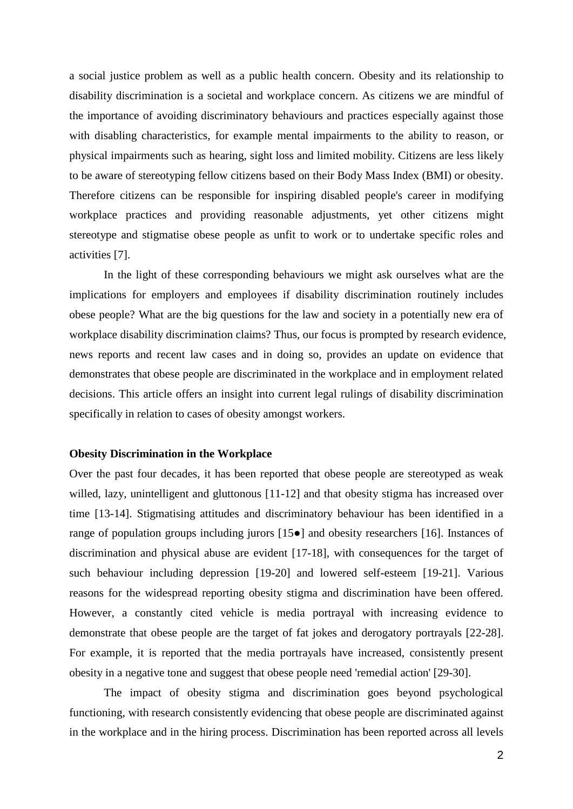a social justice problem as well as a public health concern. Obesity and its relationship to disability discrimination is a societal and workplace concern. As citizens we are mindful of the importance of avoiding discriminatory behaviours and practices especially against those with disabling characteristics, for example mental impairments to the ability to reason, or physical impairments such as hearing, sight loss and limited mobility. Citizens are less likely to be aware of stereotyping fellow citizens based on their Body Mass Index (BMI) or obesity. Therefore citizens can be responsible for inspiring disabled people's career in modifying workplace practices and providing reasonable adjustments, yet other citizens might stereotype and stigmatise obese people as unfit to work or to undertake specific roles and activities [7].

In the light of these corresponding behaviours we might ask ourselves what are the implications for employers and employees if disability discrimination routinely includes obese people? What are the big questions for the law and society in a potentially new era of workplace disability discrimination claims? Thus, our focus is prompted by research evidence, news reports and recent law cases and in doing so, provides an update on evidence that demonstrates that obese people are discriminated in the workplace and in employment related decisions. This article offers an insight into current legal rulings of disability discrimination specifically in relation to cases of obesity amongst workers.

#### **Obesity Discrimination in the Workplace**

Over the past four decades, it has been reported that obese people are stereotyped as weak willed, lazy, unintelligent and gluttonous [11-12] and that obesity stigma has increased over time [13-14]. Stigmatising attitudes and discriminatory behaviour has been identified in a range of population groups including jurors [15●] and obesity researchers [16]. Instances of discrimination and physical abuse are evident [17-18], with consequences for the target of such behaviour including depression [19-20] and lowered self-esteem [19-21]. Various reasons for the widespread reporting obesity stigma and discrimination have been offered. However, a constantly cited vehicle is media portrayal with increasing evidence to demonstrate that obese people are the target of fat jokes and derogatory portrayals [22-28]. For example, it is reported that the media portrayals have increased, consistently present obesity in a negative tone and suggest that obese people need 'remedial action' [29-30].

The impact of obesity stigma and discrimination goes beyond psychological functioning, with research consistently evidencing that obese people are discriminated against in the workplace and in the hiring process. Discrimination has been reported across all levels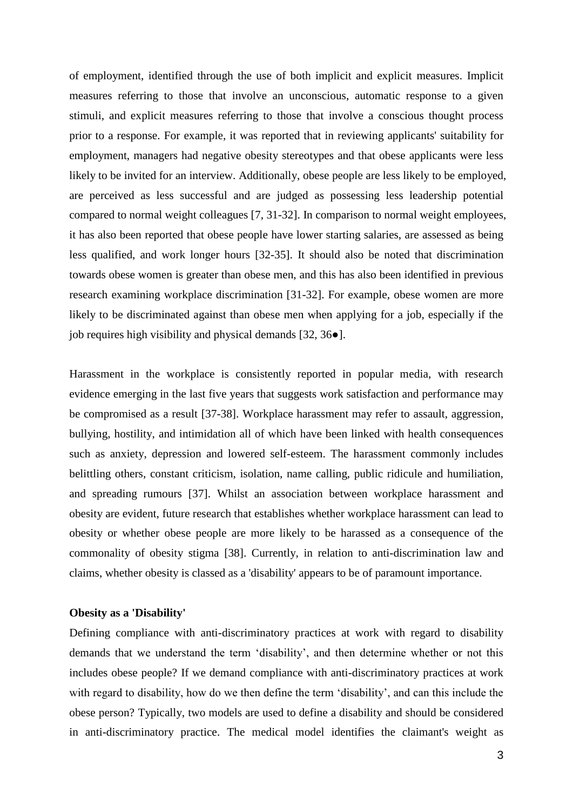of employment, identified through the use of both implicit and explicit measures. Implicit measures referring to those that involve an unconscious, automatic response to a given stimuli, and explicit measures referring to those that involve a conscious thought process prior to a response. For example, it was reported that in reviewing applicants' suitability for employment, managers had negative obesity stereotypes and that obese applicants were less likely to be invited for an interview. Additionally, obese people are less likely to be employed, are perceived as less successful and are judged as possessing less leadership potential compared to normal weight colleagues [7, 31-32]. In comparison to normal weight employees, it has also been reported that obese people have lower starting salaries, are assessed as being less qualified, and work longer hours [32-35]. It should also be noted that discrimination towards obese women is greater than obese men, and this has also been identified in previous research examining workplace discrimination [31-32]. For example, obese women are more likely to be discriminated against than obese men when applying for a job, especially if the job requires high visibility and physical demands [32, 36●].

Harassment in the workplace is consistently reported in popular media, with research evidence emerging in the last five years that suggests work satisfaction and performance may be compromised as a result [37-38]. Workplace harassment may refer to assault, aggression, bullying, hostility, and intimidation all of which have been linked with health consequences such as anxiety, depression and lowered self-esteem. The harassment commonly includes belittling others, constant criticism, isolation, name calling, public ridicule and humiliation, and spreading rumours [37]. Whilst an association between workplace harassment and obesity are evident, future research that establishes whether workplace harassment can lead to obesity or whether obese people are more likely to be harassed as a consequence of the commonality of obesity stigma [38]. Currently, in relation to anti-discrimination law and claims, whether obesity is classed as a 'disability' appears to be of paramount importance.

#### **Obesity as a 'Disability'**

Defining compliance with anti-discriminatory practices at work with regard to disability demands that we understand the term 'disability', and then determine whether or not this includes obese people? If we demand compliance with anti-discriminatory practices at work with regard to disability, how do we then define the term 'disability', and can this include the obese person? Typically, two models are used to define a disability and should be considered in anti-discriminatory practice. The medical model identifies the claimant's weight as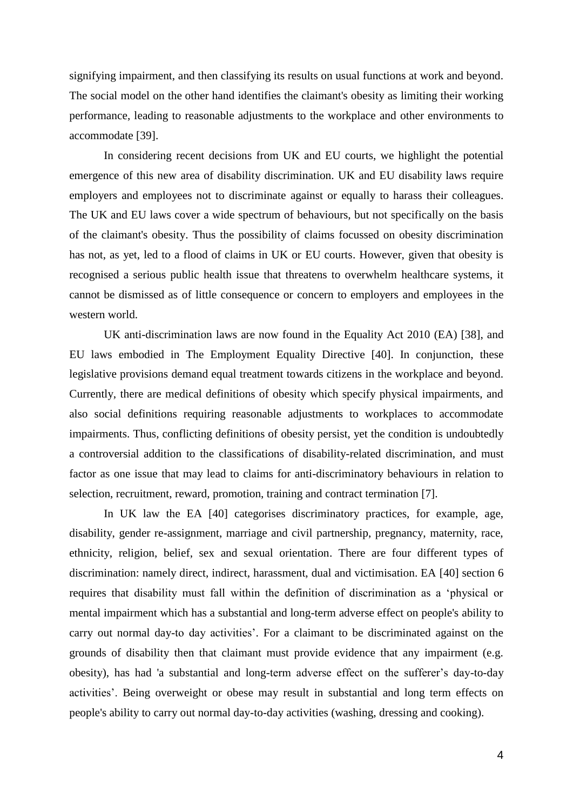signifying impairment, and then classifying its results on usual functions at work and beyond. The social model on the other hand identifies the claimant's obesity as limiting their working performance, leading to reasonable adjustments to the workplace and other environments to accommodate [39].

In considering recent decisions from UK and EU courts, we highlight the potential emergence of this new area of disability discrimination. UK and EU disability laws require employers and employees not to discriminate against or equally to harass their colleagues. The UK and EU laws cover a wide spectrum of behaviours, but not specifically on the basis of the claimant's obesity. Thus the possibility of claims focussed on obesity discrimination has not, as yet, led to a flood of claims in UK or EU courts. However, given that obesity is recognised a serious public health issue that threatens to overwhelm healthcare systems, it cannot be dismissed as of little consequence or concern to employers and employees in the western world.

UK anti-discrimination laws are now found in the Equality Act 2010 (EA) [38], and EU laws embodied in The Employment Equality Directive [40]. In conjunction, these legislative provisions demand equal treatment towards citizens in the workplace and beyond. Currently, there are medical definitions of obesity which specify physical impairments, and also social definitions requiring reasonable adjustments to workplaces to accommodate impairments. Thus, conflicting definitions of obesity persist, yet the condition is undoubtedly a controversial addition to the classifications of disability-related discrimination, and must factor as one issue that may lead to claims for anti-discriminatory behaviours in relation to selection, recruitment, reward, promotion, training and contract termination [7].

In UK law the EA [40] categorises discriminatory practices, for example, age, disability, gender re-assignment, marriage and civil partnership, pregnancy, maternity, race, ethnicity, religion, belief, sex and sexual orientation. There are four different types of discrimination: namely direct, indirect, harassment, dual and victimisation. EA [40] section 6 requires that disability must fall within the definition of discrimination as a 'physical or mental impairment which has a substantial and long-term adverse effect on people's ability to carry out normal day-to day activities'. For a claimant to be discriminated against on the grounds of disability then that claimant must provide evidence that any impairment (e.g. obesity), has had 'a substantial and long-term adverse effect on the sufferer's day-to-day activities'. Being overweight or obese may result in substantial and long term effects on people's ability to carry out normal day-to-day activities (washing, dressing and cooking).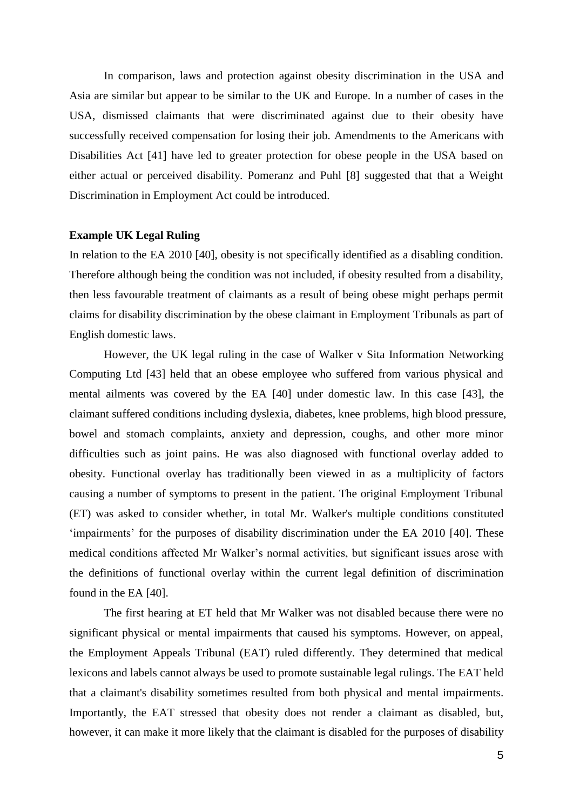In comparison, laws and protection against obesity discrimination in the USA and Asia are similar but appear to be similar to the UK and Europe. In a number of cases in the USA, dismissed claimants that were discriminated against due to their obesity have successfully received compensation for losing their job. Amendments to the Americans with Disabilities Act [41] have led to greater protection for obese people in the USA based on either actual or perceived disability. Pomeranz and Puhl [8] suggested that that a Weight Discrimination in Employment Act could be introduced.

#### **Example UK Legal Ruling**

In relation to the EA 2010 [40], obesity is not specifically identified as a disabling condition. Therefore although being the condition was not included, if obesity resulted from a disability, then less favourable treatment of claimants as a result of being obese might perhaps permit claims for disability discrimination by the obese claimant in Employment Tribunals as part of English domestic laws.

However, the UK legal ruling in the case of Walker v Sita Information Networking Computing Ltd [43] held that an obese employee who suffered from various physical and mental ailments was covered by the EA [40] under domestic law. In this case [43], the claimant suffered conditions including dyslexia, diabetes, knee problems, high blood pressure, bowel and stomach complaints, anxiety and depression, coughs, and other more minor difficulties such as joint pains. He was also diagnosed with functional overlay added to obesity. Functional overlay has traditionally been viewed in as a multiplicity of factors causing a number of symptoms to present in the patient. The original Employment Tribunal (ET) was asked to consider whether, in total Mr. Walker's multiple conditions constituted 'impairments' for the purposes of disability discrimination under the EA 2010 [40]. These medical conditions affected Mr Walker's normal activities, but significant issues arose with the definitions of functional overlay within the current legal definition of discrimination found in the EA [40].

The first hearing at ET held that Mr Walker was not disabled because there were no significant physical or mental impairments that caused his symptoms. However, on appeal, the Employment Appeals Tribunal (EAT) ruled differently. They determined that medical lexicons and labels cannot always be used to promote sustainable legal rulings. The EAT held that a claimant's disability sometimes resulted from both physical and mental impairments. Importantly, the EAT stressed that obesity does not render a claimant as disabled, but, however, it can make it more likely that the claimant is disabled for the purposes of disability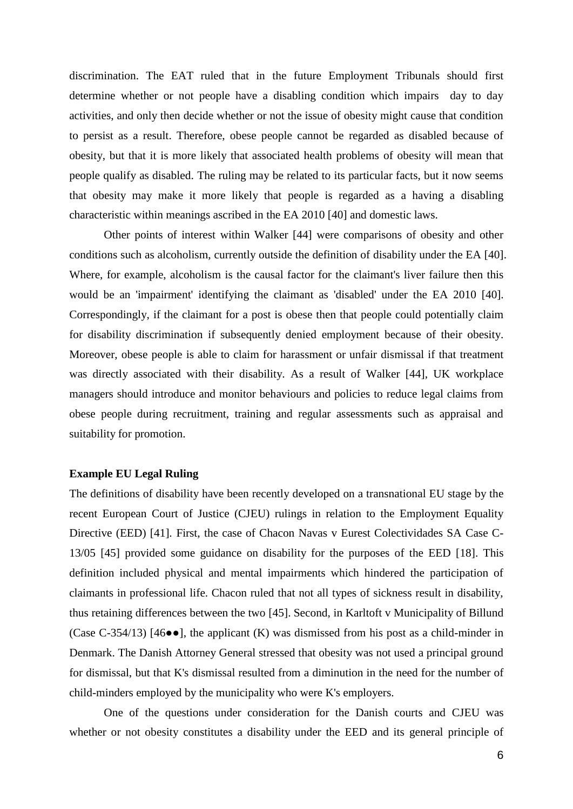discrimination. The EAT ruled that in the future Employment Tribunals should first determine whether or not people have a disabling condition which impairs day to day activities, and only then decide whether or not the issue of obesity might cause that condition to persist as a result. Therefore, obese people cannot be regarded as disabled because of obesity, but that it is more likely that associated health problems of obesity will mean that people qualify as disabled. The ruling may be related to its particular facts, but it now seems that obesity may make it more likely that people is regarded as a having a disabling characteristic within meanings ascribed in the EA 2010 [40] and domestic laws.

Other points of interest within Walker [44] were comparisons of obesity and other conditions such as alcoholism, currently outside the definition of disability under the EA [40]. Where, for example, alcoholism is the causal factor for the claimant's liver failure then this would be an 'impairment' identifying the claimant as 'disabled' under the EA 2010 [40]. Correspondingly, if the claimant for a post is obese then that people could potentially claim for disability discrimination if subsequently denied employment because of their obesity. Moreover, obese people is able to claim for harassment or unfair dismissal if that treatment was directly associated with their disability. As a result of Walker [44], UK workplace managers should introduce and monitor behaviours and policies to reduce legal claims from obese people during recruitment, training and regular assessments such as appraisal and suitability for promotion.

## **Example EU Legal Ruling**

The definitions of disability have been recently developed on a transnational EU stage by the recent European Court of Justice (CJEU) rulings in relation to the Employment Equality Directive (EED) [41]*.* First, the case of Chacon Navas v Eurest Colectividades SA Case C-13/05 [45] provided some guidance on disability for the purposes of the EED [18]. This definition included physical and mental impairments which hindered the participation of claimants in professional life. Chacon ruled that not all types of sickness result in disability, thus retaining differences between the two [45]. Second, in Karltoft v Municipality of Billund (Case C-354/13) [46●●], the applicant (K) was dismissed from his post as a child-minder in Denmark. The Danish Attorney General stressed that obesity was not used a principal ground for dismissal, but that K's dismissal resulted from a diminution in the need for the number of child-minders employed by the municipality who were K's employers.

One of the questions under consideration for the Danish courts and CJEU was whether or not obesity constitutes a disability under the EED and its general principle of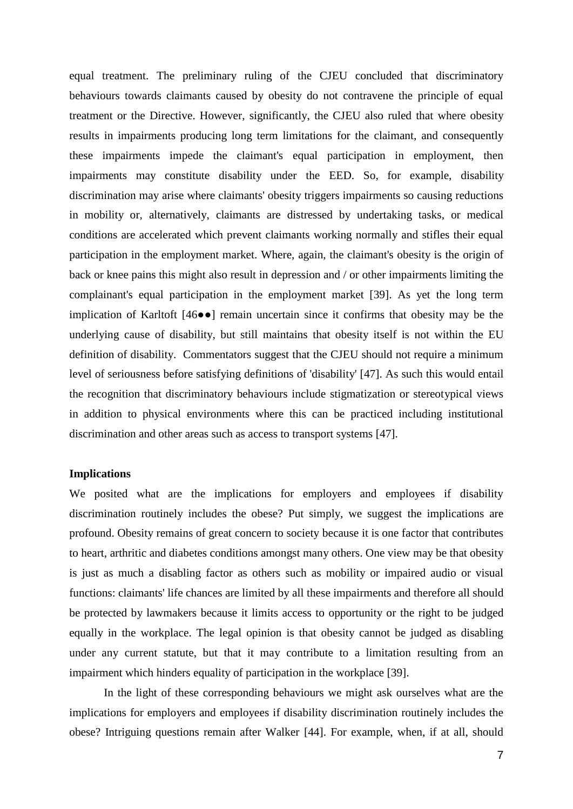equal treatment. The preliminary ruling of the CJEU concluded that discriminatory behaviours towards claimants caused by obesity do not contravene the principle of equal treatment or the Directive. However, significantly, the CJEU also ruled that where obesity results in impairments producing long term limitations for the claimant, and consequently these impairments impede the claimant's equal participation in employment, then impairments may constitute disability under the EED. So, for example, disability discrimination may arise where claimants' obesity triggers impairments so causing reductions in mobility or, alternatively, claimants are distressed by undertaking tasks, or medical conditions are accelerated which prevent claimants working normally and stifles their equal participation in the employment market. Where, again, the claimant's obesity is the origin of back or knee pains this might also result in depression and / or other impairments limiting the complainant's equal participation in the employment market [39]. As yet the long term implication of Karltoft [46●●] remain uncertain since it confirms that obesity may be the underlying cause of disability, but still maintains that obesity itself is not within the EU definition of disability. Commentators suggest that the CJEU should not require a minimum level of seriousness before satisfying definitions of 'disability' [47]. As such this would entail the recognition that discriminatory behaviours include stigmatization or stereotypical views in addition to physical environments where this can be practiced including institutional discrimination and other areas such as access to transport systems [47].

## **Implications**

We posited what are the implications for employers and employees if disability discrimination routinely includes the obese? Put simply, we suggest the implications are profound. Obesity remains of great concern to society because it is one factor that contributes to heart, arthritic and diabetes conditions amongst many others. One view may be that obesity is just as much a disabling factor as others such as mobility or impaired audio or visual functions: claimants' life chances are limited by all these impairments and therefore all should be protected by lawmakers because it limits access to opportunity or the right to be judged equally in the workplace. The legal opinion is that obesity cannot be judged as disabling under any current statute, but that it may contribute to a limitation resulting from an impairment which hinders equality of participation in the workplace [39].

In the light of these corresponding behaviours we might ask ourselves what are the implications for employers and employees if disability discrimination routinely includes the obese? Intriguing questions remain after Walker [44]. For example, when, if at all, should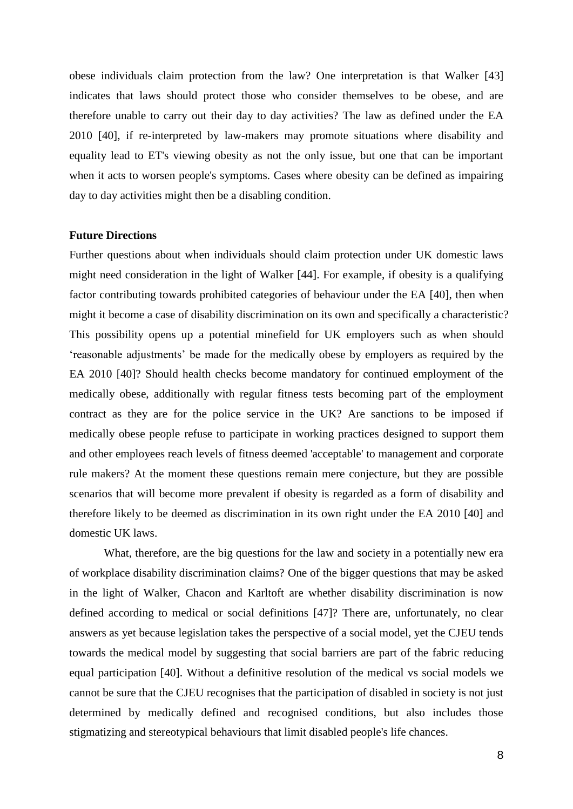obese individuals claim protection from the law? One interpretation is that Walker [43] indicates that laws should protect those who consider themselves to be obese, and are therefore unable to carry out their day to day activities? The law as defined under the EA 2010 [40], if re-interpreted by law-makers may promote situations where disability and equality lead to ET's viewing obesity as not the only issue, but one that can be important when it acts to worsen people's symptoms. Cases where obesity can be defined as impairing day to day activities might then be a disabling condition.

#### **Future Directions**

Further questions about when individuals should claim protection under UK domestic laws might need consideration in the light of Walker [44]. For example, if obesity is a qualifying factor contributing towards prohibited categories of behaviour under the EA [40], then when might it become a case of disability discrimination on its own and specifically a characteristic? This possibility opens up a potential minefield for UK employers such as when should 'reasonable adjustments' be made for the medically obese by employers as required by the EA 2010 [40]? Should health checks become mandatory for continued employment of the medically obese, additionally with regular fitness tests becoming part of the employment contract as they are for the police service in the UK? Are sanctions to be imposed if medically obese people refuse to participate in working practices designed to support them and other employees reach levels of fitness deemed 'acceptable' to management and corporate rule makers? At the moment these questions remain mere conjecture, but they are possible scenarios that will become more prevalent if obesity is regarded as a form of disability and therefore likely to be deemed as discrimination in its own right under the EA 2010 [40] and domestic UK laws.

What, therefore, are the big questions for the law and society in a potentially new era of workplace disability discrimination claims? One of the bigger questions that may be asked in the light of Walker, Chacon and Karltoft are whether disability discrimination is now defined according to medical or social definitions [47]? There are, unfortunately, no clear answers as yet because legislation takes the perspective of a social model, yet the CJEU tends towards the medical model by suggesting that social barriers are part of the fabric reducing equal participation [40]. Without a definitive resolution of the medical vs social models we cannot be sure that the CJEU recognises that the participation of disabled in society is not just determined by medically defined and recognised conditions, but also includes those stigmatizing and stereotypical behaviours that limit disabled people's life chances.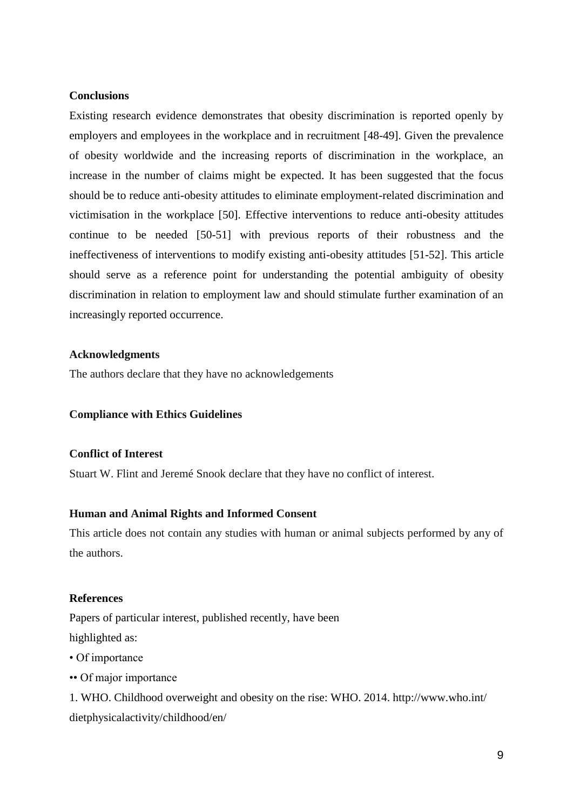# **Conclusions**

Existing research evidence demonstrates that obesity discrimination is reported openly by employers and employees in the workplace and in recruitment [48-49]. Given the prevalence of obesity worldwide and the increasing reports of discrimination in the workplace, an increase in the number of claims might be expected. It has been suggested that the focus should be to reduce anti-obesity attitudes to eliminate employment-related discrimination and victimisation in the workplace [50]. Effective interventions to reduce anti-obesity attitudes continue to be needed [50-51] with previous reports of their robustness and the ineffectiveness of interventions to modify existing anti-obesity attitudes [51-52]. This article should serve as a reference point for understanding the potential ambiguity of obesity discrimination in relation to employment law and should stimulate further examination of an increasingly reported occurrence.

#### **Acknowledgments**

The authors declare that they have no acknowledgements

# **Compliance with Ethics Guidelines**

#### **Conflict of Interest**

Stuart W. Flint and Jeremé Snook declare that they have no conflict of interest.

#### **Human and Animal Rights and Informed Consent**

This article does not contain any studies with human or animal subjects performed by any of the authors.

# **References**

Papers of particular interest, published recently, have been

highlighted as:

• Of importance

•• Of major importance

1. WHO. Childhood overweight and obesity on the rise: WHO. 2014. http://www.who.int/ dietphysicalactivity/childhood/en/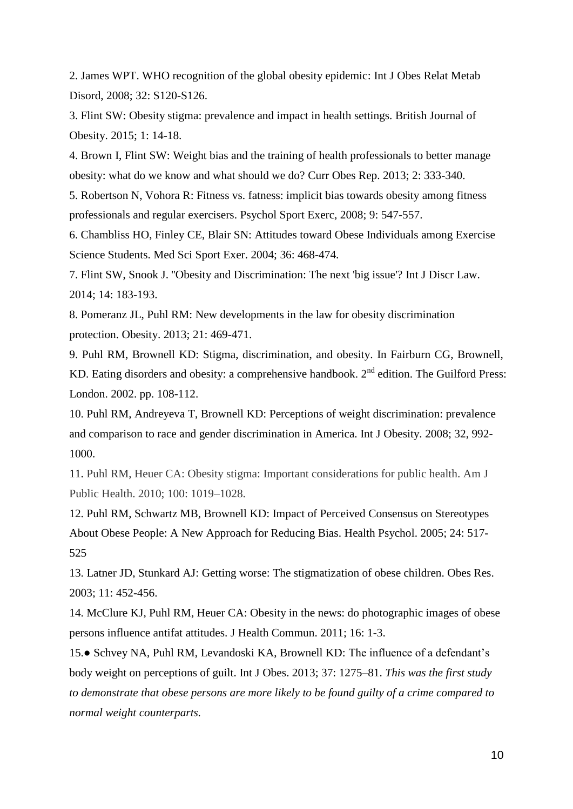2. James WPT. WHO recognition of the global obesity epidemic: Int J Obes Relat Metab Disord, 2008; 32: S120-S126.

3. Flint SW: Obesity stigma: prevalence and impact in health settings. British Journal of Obesity. 2015; 1: 14-18.

4. Brown I, Flint SW: Weight bias and the training of health professionals to better manage obesity: what do we know and what should we do? Curr Obes Rep. 2013; 2: 333-340.

5. Robertson N, Vohora R: Fitness vs. fatness: implicit bias towards obesity among fitness professionals and regular exercisers. Psychol Sport Exerc, 2008; 9: 547-557.

6. Chambliss HO, Finley CE, Blair SN: Attitudes toward Obese Individuals among Exercise Science Students. Med Sci Sport Exer. 2004; 36: 468-474.

7. Flint SW, Snook J. ''Obesity and Discrimination: The next 'big issue'? Int J Discr Law. 2014; 14: 183-193.

8. Pomeranz JL, Puhl RM: New developments in the law for obesity discrimination protection. Obesity. 2013; 21: 469-471.

9. Puhl RM, Brownell KD: Stigma, discrimination, and obesity. In Fairburn CG, Brownell, KD. Eating disorders and obesity: a comprehensive handbook. 2<sup>nd</sup> edition. The Guilford Press: London. 2002. pp. 108-112.

10. Puhl RM, Andreyeva T, Brownell KD: Perceptions of weight discrimination: prevalence and comparison to race and gender discrimination in America. Int J Obesity. 2008; 32, 992- 1000.

11. Puhl RM, Heuer CA: Obesity stigma: Important considerations for public health. Am J Public Health. 2010; 100: 1019–1028.

12. Puhl RM, Schwartz MB, Brownell KD: Impact of Perceived Consensus on Stereotypes About Obese People: A New Approach for Reducing Bias. Health Psychol. 2005; 24: 517- 525

13. Latner JD, Stunkard AJ: Getting worse: The stigmatization of obese children. Obes Res. 2003; 11: 452-456.

14. McClure KJ, Puhl RM, Heuer CA: Obesity in the news: do photographic images of obese persons influence antifat attitudes. J Health Commun. 2011; 16: 1-3.

15.● Schvey NA, Puhl RM, Levandoski KA, Brownell KD: The influence of a defendant's body weight on perceptions of guilt. Int J Obes. 2013; 37: 1275–81. *This was the first study to demonstrate that obese persons are more likely to be found guilty of a crime compared to normal weight counterparts.*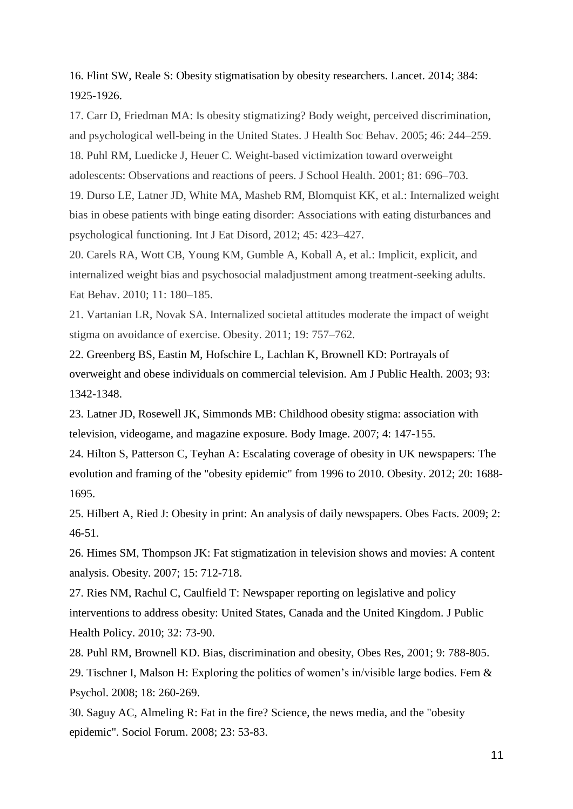16. Flint SW, Reale S: Obesity stigmatisation by obesity researchers. Lancet. 2014; 384: 1925-1926.

17. Carr D, Friedman MA: Is obesity stigmatizing? Body weight, perceived discrimination, and psychological well-being in the United States. J Health Soc Behav. 2005; 46: 244–259. 18. Puhl RM, Luedicke J, Heuer C. Weight-based victimization toward overweight adolescents: Observations and reactions of peers. J School Health. 2001; 81: 696–703.

19. Durso LE, Latner JD, White MA, Masheb RM, Blomquist KK, et al.: Internalized weight bias in obese patients with binge eating disorder: Associations with eating disturbances and psychological functioning. Int J Eat Disord, 2012; 45: 423–427.

20. Carels RA, Wott CB, Young KM, Gumble A, Koball A, et al.: Implicit, explicit, and internalized weight bias and psychosocial maladjustment among treatment-seeking adults. Eat Behav. 2010; 11: 180–185.

21. Vartanian LR, Novak SA. Internalized societal attitudes moderate the impact of weight stigma on avoidance of exercise. Obesity. 2011; 19: 757–762.

22. Greenberg BS, Eastin M, Hofschire L, Lachlan K, Brownell KD: Portrayals of overweight and obese individuals on commercial television. Am J Public Health. 2003; 93: 1342-1348.

23. Latner JD, Rosewell JK, Simmonds MB: Childhood obesity stigma: association with television, videogame, and magazine exposure. Body Image. 2007; 4: 147-155.

24. Hilton S, Patterson C, Teyhan A: Escalating coverage of obesity in UK newspapers: The evolution and framing of the "obesity epidemic" from 1996 to 2010. Obesity. 2012; 20: 1688- 1695.

25. Hilbert A, Ried J: Obesity in print: An analysis of daily newspapers. Obes Facts. 2009; 2: 46-51.

26. Himes SM, Thompson JK: Fat stigmatization in television shows and movies: A content analysis. Obesity. 2007; 15: 712-718.

27. Ries NM, Rachul C, Caulfield T: Newspaper reporting on legislative and policy interventions to address obesity: United States, Canada and the United Kingdom. J Public Health Policy. 2010; 32: 73-90.

28. Puhl RM, Brownell KD. Bias, discrimination and obesity, Obes Res, 2001; 9: 788-805.

29. Tischner I, Malson H: Exploring the politics of women's in/visible large bodies. Fem & Psychol. 2008; 18: 260-269.

30. Saguy AC, Almeling R: Fat in the fire? Science, the news media, and the "obesity epidemic". Sociol Forum. 2008; 23: 53-83.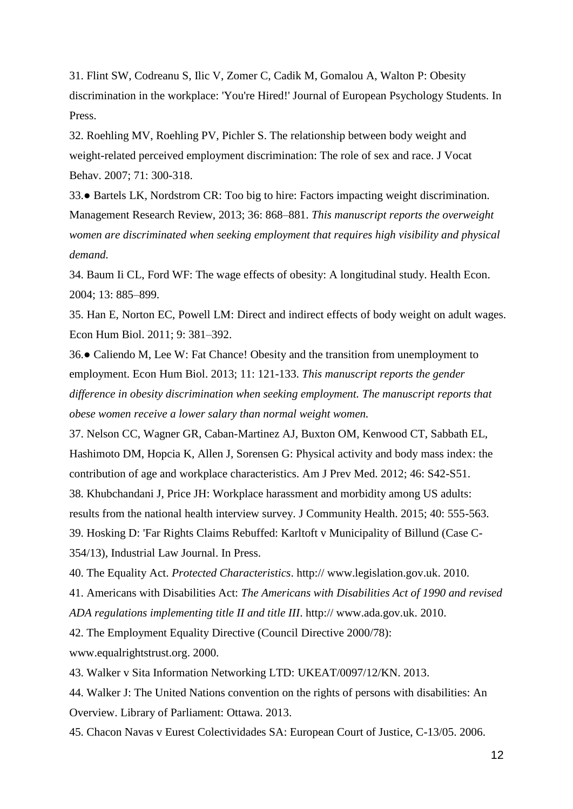31. Flint SW, Codreanu S, Ilic V, Zomer C, Cadik M, Gomalou A, Walton P: Obesity discrimination in the workplace: 'You're Hired!' Journal of European Psychology Students. In Press.

32. Roehling MV, Roehling PV, Pichler S. The relationship between body weight and weight-related perceived employment discrimination: The role of sex and race. J Vocat Behav. 2007; 71: 300-318.

33.● Bartels LK, Nordstrom CR: Too big to hire: Factors impacting weight discrimination. Management Research Review, 2013; 36: 868–881. *This manuscript reports the overweight women are discriminated when seeking employment that requires high visibility and physical demand.* 

34. Baum Ii CL, Ford WF: The wage effects of obesity: A longitudinal study. Health Econ. 2004; 13: 885–899.

35. Han E, Norton EC, Powell LM: Direct and indirect effects of body weight on adult wages. Econ Hum Biol. 2011; 9: 381–392.

36.● Caliendo M, Lee W: Fat Chance! Obesity and the transition from unemployment to employment. Econ Hum Biol. 2013; 11: 121-133. *This manuscript reports the gender difference in obesity discrimination when seeking employment. The manuscript reports that obese women receive a lower salary than normal weight women.* 

37. Nelson CC, Wagner GR, Caban-Martinez AJ, Buxton OM, Kenwood CT, Sabbath EL, Hashimoto DM, Hopcia K, Allen J, Sorensen G: Physical activity and body mass index: the contribution of age and workplace characteristics. Am J Prev Med. 2012; 46: S42-S51.

38. Khubchandani J, Price JH: Workplace harassment and morbidity among US adults:

results from the national health interview survey. J Community Health. 2015; 40: 555-563.

39. Hosking D: 'Far Rights Claims Rebuffed: Karltoft v Municipality of Billund (Case C-354/13), Industrial Law Journal. In Press.

40. The Equality Act. *Protected Characteristics*. http:// www.legislation.gov.uk. 2010.

41. Americans with Disabilities Act: *The Americans with Disabilities Act of 1990 and revised ADA regulations implementing title II and title III*. http:// www.ada.gov.uk. 2010.

42. The Employment Equality Directive (Council Directive 2000/78): www.equalrightstrust.org. 2000.

43. Walker v Sita Information Networking LTD: UKEAT/0097/12/KN. 2013.

44. Walker J: The United Nations convention on the rights of persons with disabilities: An Overview. Library of Parliament: Ottawa. 2013.

45. Chacon Navas v Eurest Colectividades SA: European Court of Justice, C-13/05. 2006.